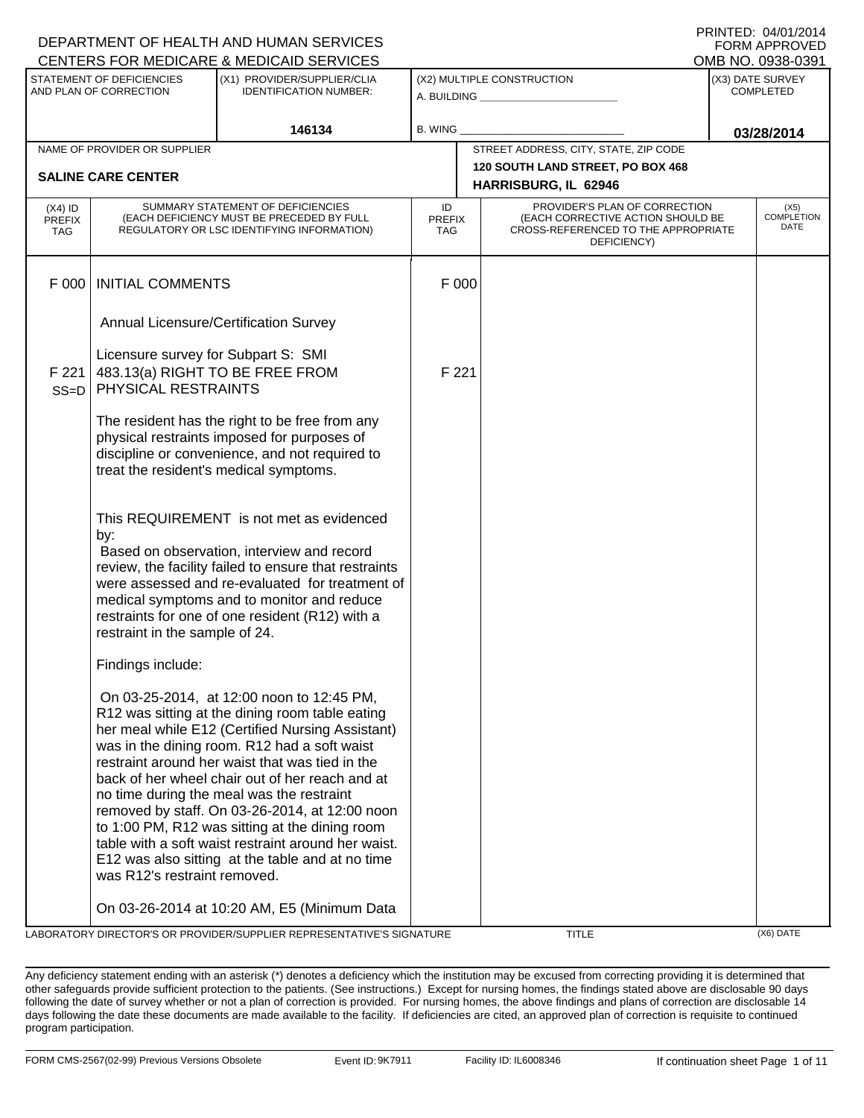|                                                     |                                                            | DEPARTMENT OF HEALTH AND HUMAN SERVICES<br>CENTERS FOR MEDICARE & MEDICAID SERVICES                                                                                                                                                                                                                                                                                                                                                                                                                                                                                |                                   |                            |                                                                                                                          |  | <b>FORM APPROVED</b><br>OMB NO. 0938-0391 |  |
|-----------------------------------------------------|------------------------------------------------------------|--------------------------------------------------------------------------------------------------------------------------------------------------------------------------------------------------------------------------------------------------------------------------------------------------------------------------------------------------------------------------------------------------------------------------------------------------------------------------------------------------------------------------------------------------------------------|-----------------------------------|----------------------------|--------------------------------------------------------------------------------------------------------------------------|--|-------------------------------------------|--|
| STATEMENT OF DEFICIENCIES<br>AND PLAN OF CORRECTION |                                                            | (X1) PROVIDER/SUPPLIER/CLIA<br><b>IDENTIFICATION NUMBER:</b>                                                                                                                                                                                                                                                                                                                                                                                                                                                                                                       |                                   | (X2) MULTIPLE CONSTRUCTION |                                                                                                                          |  | (X3) DATE SURVEY<br><b>COMPLETED</b>      |  |
|                                                     |                                                            | 146134                                                                                                                                                                                                                                                                                                                                                                                                                                                                                                                                                             | B. WING                           |                            |                                                                                                                          |  | 03/28/2014                                |  |
|                                                     | NAME OF PROVIDER OR SUPPLIER                               |                                                                                                                                                                                                                                                                                                                                                                                                                                                                                                                                                                    |                                   |                            | STREET ADDRESS, CITY, STATE, ZIP CODE                                                                                    |  |                                           |  |
| <b>SALINE CARE CENTER</b>                           |                                                            |                                                                                                                                                                                                                                                                                                                                                                                                                                                                                                                                                                    |                                   |                            | 120 SOUTH LAND STREET, PO BOX 468<br>HARRISBURG, IL 62946                                                                |  |                                           |  |
| $(X4)$ ID<br><b>PREFIX</b><br><b>TAG</b>            |                                                            | SUMMARY STATEMENT OF DEFICIENCIES<br>(EACH DEFICIENCY MUST BE PRECEDED BY FULL<br>REGULATORY OR LSC IDENTIFYING INFORMATION)                                                                                                                                                                                                                                                                                                                                                                                                                                       | ID<br><b>PREFIX</b><br><b>TAG</b> |                            | PROVIDER'S PLAN OF CORRECTION<br>(EACH CORRECTIVE ACTION SHOULD BE<br>CROSS-REFERENCED TO THE APPROPRIATE<br>DEFICIENCY) |  | (X5)<br><b>COMPLETION</b><br>DATE         |  |
| F 000                                               | <b>INITIAL COMMENTS</b>                                    |                                                                                                                                                                                                                                                                                                                                                                                                                                                                                                                                                                    |                                   | F 000                      |                                                                                                                          |  |                                           |  |
|                                                     |                                                            | Annual Licensure/Certification Survey                                                                                                                                                                                                                                                                                                                                                                                                                                                                                                                              |                                   |                            |                                                                                                                          |  |                                           |  |
| F 221<br>$SS = D$                                   | Licensure survey for Subpart S: SMI<br>PHYSICAL RESTRAINTS | 483.13(a) RIGHT TO BE FREE FROM                                                                                                                                                                                                                                                                                                                                                                                                                                                                                                                                    | F 221                             |                            |                                                                                                                          |  |                                           |  |
|                                                     |                                                            | The resident has the right to be free from any<br>physical restraints imposed for purposes of<br>discipline or convenience, and not required to<br>treat the resident's medical symptoms.                                                                                                                                                                                                                                                                                                                                                                          |                                   |                            |                                                                                                                          |  |                                           |  |
|                                                     | by:<br>restraint in the sample of 24.                      | This REQUIREMENT is not met as evidenced<br>Based on observation, interview and record<br>review, the facility failed to ensure that restraints<br>were assessed and re-evaluated for treatment of<br>medical symptoms and to monitor and reduce<br>restraints for one of one resident (R12) with a                                                                                                                                                                                                                                                                |                                   |                            |                                                                                                                          |  |                                           |  |
|                                                     | Findings include:                                          |                                                                                                                                                                                                                                                                                                                                                                                                                                                                                                                                                                    |                                   |                            |                                                                                                                          |  |                                           |  |
|                                                     | was R12's restraint removed.                               | On 03-25-2014, at 12:00 noon to 12:45 PM,<br>R12 was sitting at the dining room table eating<br>her meal while E12 (Certified Nursing Assistant)<br>was in the dining room. R12 had a soft waist<br>restraint around her waist that was tied in the<br>back of her wheel chair out of her reach and at<br>no time during the meal was the restraint<br>removed by staff. On 03-26-2014, at 12:00 noon<br>to 1:00 PM, R12 was sitting at the dining room<br>table with a soft waist restraint around her waist.<br>E12 was also sitting at the table and at no time |                                   |                            |                                                                                                                          |  |                                           |  |
|                                                     |                                                            | On 03-26-2014 at 10:20 AM, E5 (Minimum Data                                                                                                                                                                                                                                                                                                                                                                                                                                                                                                                        |                                   |                            |                                                                                                                          |  |                                           |  |

LABORATORY DIRECTOR'S OR PROVIDER/SUPPLIER REPRESENTATIVE'S SIGNATURE TITLE (X6) DATE

DEPARTMENT OF HEALTH AND HUMAN SERVICES

PRINTED: 04/01/2014

Any deficiency statement ending with an asterisk (\*) denotes a deficiency which the institution may be excused from correcting providing it is determined that other safeguards provide sufficient protection to the patients. (See instructions.) Except for nursing homes, the findings stated above are disclosable 90 days following the date of survey whether or not a plan of correction is provided. For nursing homes, the above findings and plans of correction are disclosable 14 days following the date these documents are made available to the facility. If deficiencies are cited, an approved plan of correction is requisite to continued program participation.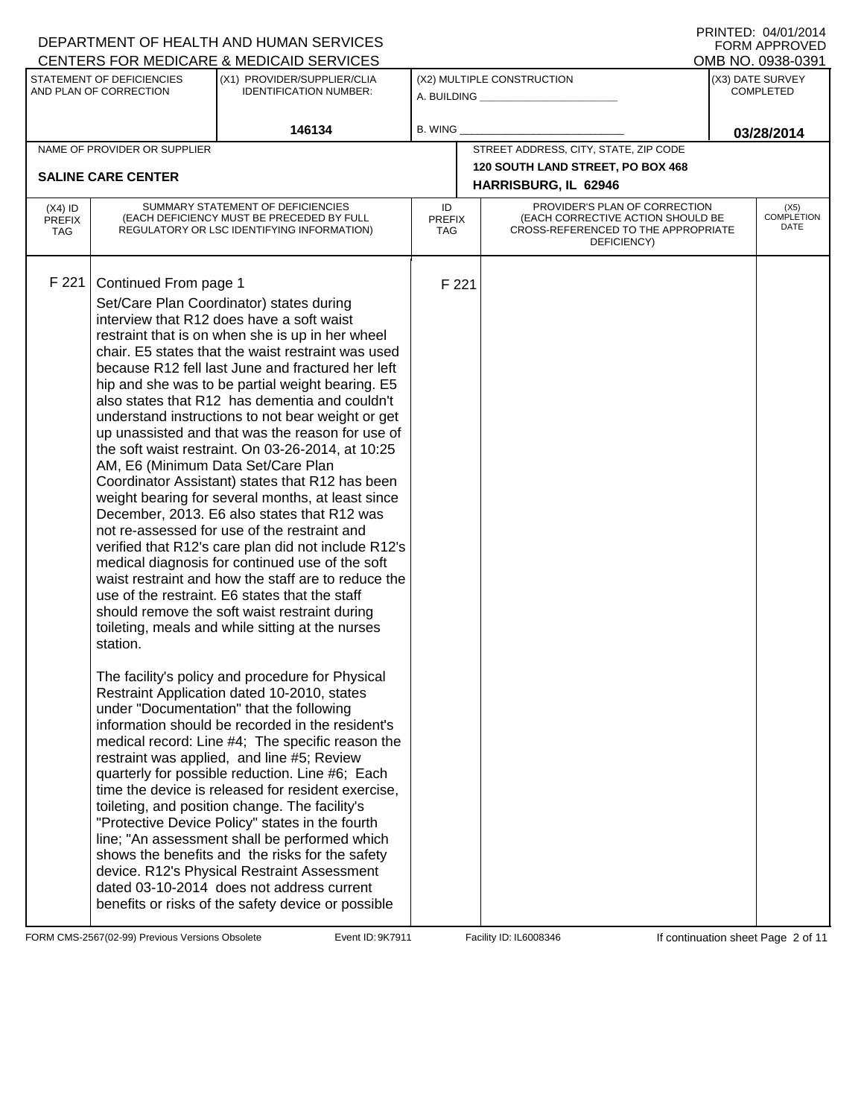#### A. BUILDING **\_\_\_\_\_\_\_\_\_\_\_\_\_\_\_\_\_\_\_\_\_\_** (X1) PROVIDER/SUPPLIER/CLIA IDENTIFICATION NUMBER: STATEMENT OF DEFICIENCIES AND PLAN OF CORRECTION (X3) DATE SURVEY COMPLETED FORM APPROVED<br>OMB NO. 0938-0391 (X2) MULTIPLE CONSTRUCTION B. WING CENTERS FOR MEDICARE & MEDICAID SERVICES **146134 03/28/2014** NAME OF PROVIDER OR SUPPLIER STREET ADDRESS, CITY, STATE, ZIP CODE **120 SOUTH LAND STREET, PO BOX 468 SALINE CARE CENTER HARRISBURG, IL 62946** PROVIDER'S PLAN OF CORRECTION (EACH CORRECTIVE ACTION SHOULD BE CROSS-REFERENCED TO THE APPROPRIATE DEFICIENCY) (X5) COMPLETION DATE ID PREFIX TAG (X4) ID PREFIX TAG SUMMARY STATEMENT OF DEFICIENCIES (EACH DEFICIENCY MUST BE PRECEDED BY FULL REGULATORY OR LSC IDENTIFYING INFORMATION) F 221 Continued From page 1 F 221 Set/Care Plan Coordinator) states during interview that R12 does have a soft waist restraint that is on when she is up in her wheel chair. E5 states that the waist restraint was used because R12 fell last June and fractured her left hip and she was to be partial weight bearing. E5 also states that R12 has dementia and couldn't understand instructions to not bear weight or get up unassisted and that was the reason for use of the soft waist restraint. On 03-26-2014, at 10:25 AM, E6 (Minimum Data Set/Care Plan Coordinator Assistant) states that R12 has been weight bearing for several months, at least since December, 2013. E6 also states that R12 was not re-assessed for use of the restraint and verified that R12's care plan did not include R12's medical diagnosis for continued use of the soft waist restraint and how the staff are to reduce the use of the restraint. E6 states that the staff should remove the soft waist restraint during toileting, meals and while sitting at the nurses station. The facility's policy and procedure for Physical Restraint Application dated 10-2010, states under "Documentation" that the following information should be recorded in the resident's medical record: Line #4; The specific reason the restraint was applied, and line #5; Review quarterly for possible reduction. Line #6; Each time the device is released for resident exercise, toileting, and position change. The facility's "Protective Device Policy" states in the fourth line; "An assessment shall be performed which shows the benefits and the risks for the safety device. R12's Physical Restraint Assessment dated 03-10-2014 does not address current benefits or risks of the safety device or possible

FORM CMS-2567(02-99) Previous Versions Obsolete **9the Hart Event ID: 9K7911** Facility ID: IL6008346 If continuation sheet Page 2 of 11

DEPARTMENT OF HEALTH AND HUMAN SERVICES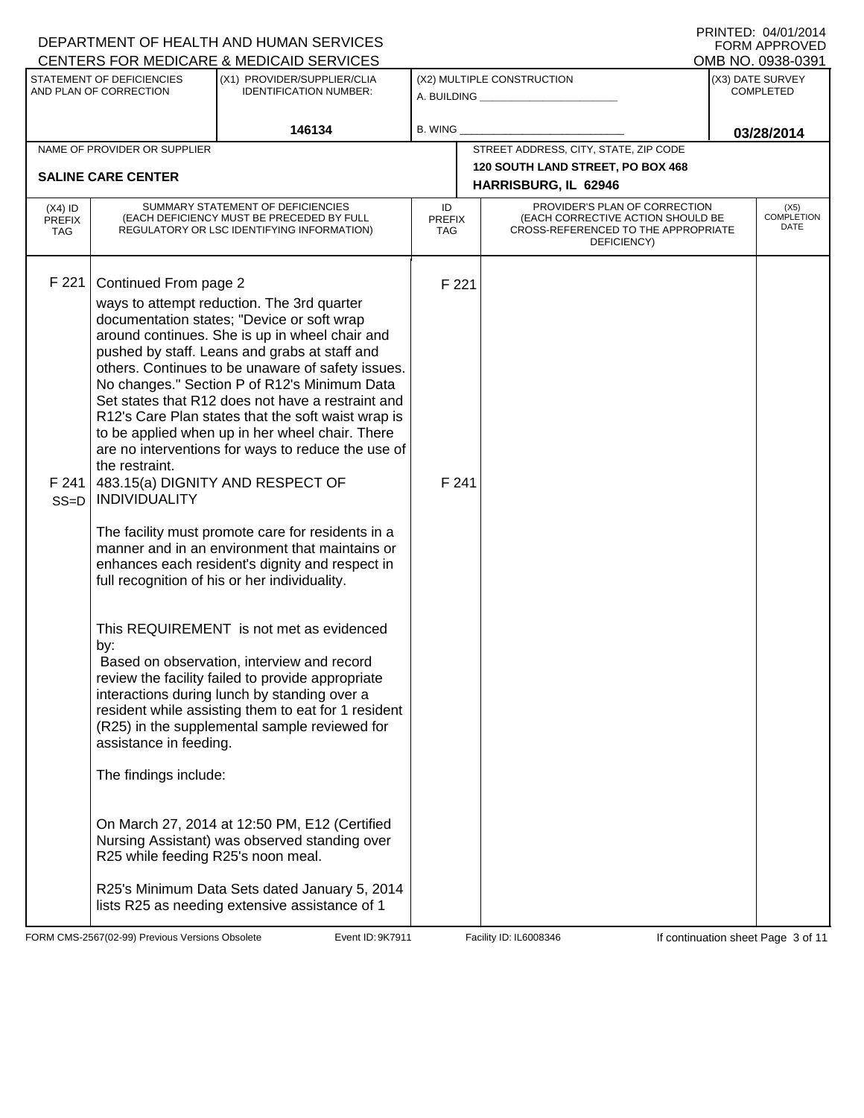A. BUILDING **\_\_\_\_\_\_\_\_\_\_\_\_\_\_\_\_\_\_\_\_\_\_** (X1) PROVIDER/SUPPLIER/CLIA IDENTIFICATION NUMBER: STATEMENT OF DEFICIENCIES AND PLAN OF CORRECTION (X3) DATE SURVEY COMPLETED FORM APPROVED<br>OMB NO. 0938-0391 (X2) MULTIPLE CONSTRUCTION B. WING CENTERS FOR MEDICARE & MEDICAID SERVICES **146134 03/28/2014** NAME OF PROVIDER OR SUPPLIER STREET ADDRESS, CITY, STATE, ZIP CODE **120 SOUTH LAND STREET, PO BOX 468 SALINE CARE CENTER HARRISBURG, IL 62946** PROVIDER'S PLAN OF CORRECTION (EACH CORRECTIVE ACTION SHOULD BE CROSS-REFERENCED TO THE APPROPRIATE DEFICIENCY) (X5) COMPLETION DATE ID PREFIX TAG (X4) ID PREFIX TAG SUMMARY STATEMENT OF DEFICIENCIES (EACH DEFICIENCY MUST BE PRECEDED BY FULL REGULATORY OR LSC IDENTIFYING INFORMATION) F 221 Continued From page 2 F 221 ways to attempt reduction. The 3rd quarter documentation states; "Device or soft wrap around continues. She is up in wheel chair and pushed by staff. Leans and grabs at staff and others. Continues to be unaware of safety issues. No changes." Section P of R12's Minimum Data Set states that R12 does not have a restraint and R12's Care Plan states that the soft waist wrap is to be applied when up in her wheel chair. There are no interventions for ways to reduce the use of the restraint. F 241 SS=D 483.15(a) DIGNITY AND RESPECT OF INDIVIDUALITY The facility must promote care for residents in a manner and in an environment that maintains or enhances each resident's dignity and respect in full recognition of his or her individuality. This REQUIREMENT is not met as evidenced by: F 241 Based on observation, interview and record review the facility failed to provide appropriate interactions during lunch by standing over a resident while assisting them to eat for 1 resident (R25) in the supplemental sample reviewed for assistance in feeding. The findings include: On March 27, 2014 at 12:50 PM, E12 (Certified Nursing Assistant) was observed standing over R25 while feeding R25's noon meal. R25's Minimum Data Sets dated January 5, 2014 lists R25 as needing extensive assistance of 1

FORM CMS-2567(02-99) Previous Versions Obsolete **9the Hart Event ID: 9K7911** Facility ID: IL6008346 If continuation sheet Page 3 of 11

DEPARTMENT OF HEALTH AND HUMAN SERVICES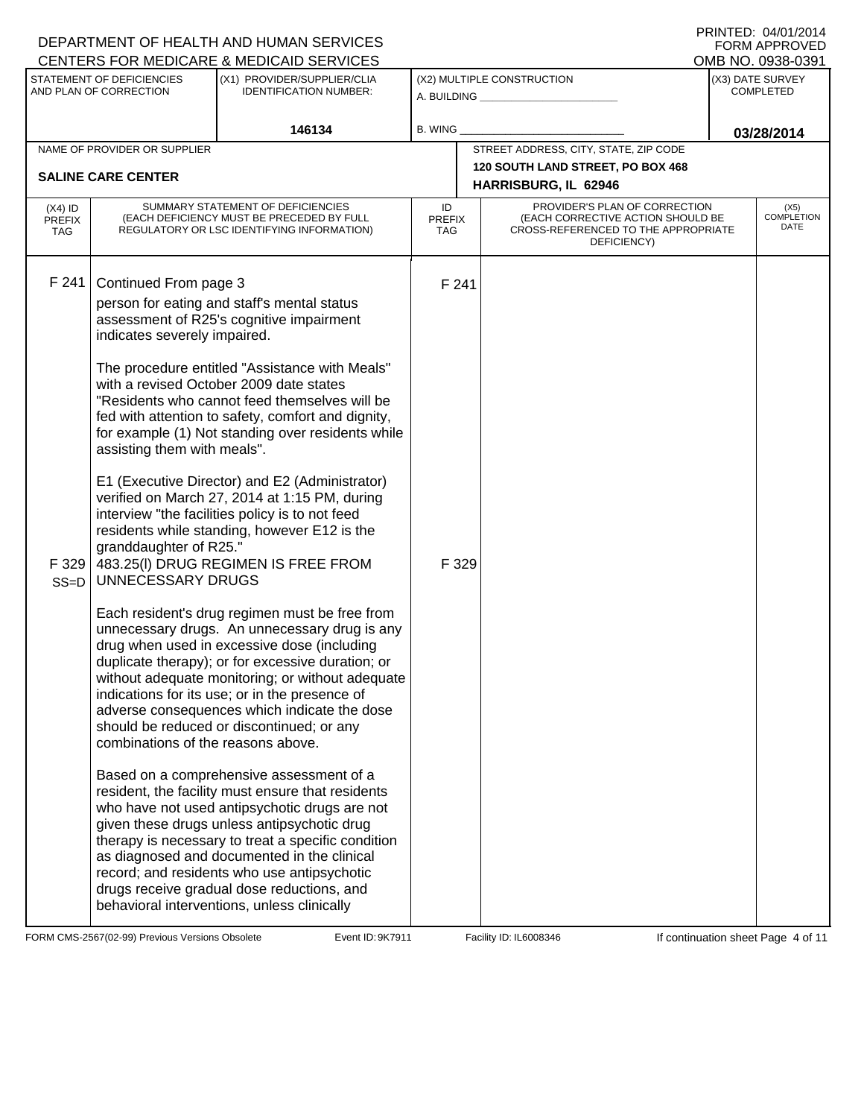PRINTED: 04/01/2014 FORM APPROVED<br>OMB NO. 0938-0391

# DEPARTMENT OF HEALTH AND HUMAN SERVICES CENTERS FOR MEDICARE & MEDICAID SERVICES

| STATEMENT OF DEFICIENCIES<br>AND PLAN OF CORRECTION                                                                                                                                                   | (X1) PROVIDER/SUPPLIER/CLIA<br><b>IDENTIFICATION NUMBER:</b>                                                                                                                                                                                                                                                                                                                                                                                                                                                                                                                                                                                                                                                                                                                                                                                                                                                                                                                                                                                                                                                                                                                                                                                                                                                                                                                                                                                              | (X2) MULTIPLE CONSTRUCTION<br>A. BUILDING __________________ |                |                                                                                                                          | (X3) DATE SURVEY<br><b>COMPLETED</b> |                                   |
|-------------------------------------------------------------------------------------------------------------------------------------------------------------------------------------------------------|-----------------------------------------------------------------------------------------------------------------------------------------------------------------------------------------------------------------------------------------------------------------------------------------------------------------------------------------------------------------------------------------------------------------------------------------------------------------------------------------------------------------------------------------------------------------------------------------------------------------------------------------------------------------------------------------------------------------------------------------------------------------------------------------------------------------------------------------------------------------------------------------------------------------------------------------------------------------------------------------------------------------------------------------------------------------------------------------------------------------------------------------------------------------------------------------------------------------------------------------------------------------------------------------------------------------------------------------------------------------------------------------------------------------------------------------------------------|--------------------------------------------------------------|----------------|--------------------------------------------------------------------------------------------------------------------------|--------------------------------------|-----------------------------------|
|                                                                                                                                                                                                       | 146134                                                                                                                                                                                                                                                                                                                                                                                                                                                                                                                                                                                                                                                                                                                                                                                                                                                                                                                                                                                                                                                                                                                                                                                                                                                                                                                                                                                                                                                    | <b>B. WING</b>                                               |                |                                                                                                                          | 03/28/2014                           |                                   |
| NAME OF PROVIDER OR SUPPLIER<br><b>SALINE CARE CENTER</b>                                                                                                                                             |                                                                                                                                                                                                                                                                                                                                                                                                                                                                                                                                                                                                                                                                                                                                                                                                                                                                                                                                                                                                                                                                                                                                                                                                                                                                                                                                                                                                                                                           |                                                              |                | STREET ADDRESS, CITY, STATE, ZIP CODE<br><b>120 SOUTH LAND STREET, PO BOX 468</b><br>HARRISBURG, IL 62946                |                                      |                                   |
| $(X4)$ ID<br><b>PREFIX</b><br><b>TAG</b>                                                                                                                                                              | SUMMARY STATEMENT OF DEFICIENCIES<br>(EACH DEFICIENCY MUST BE PRECEDED BY FULL<br>REGULATORY OR LSC IDENTIFYING INFORMATION)                                                                                                                                                                                                                                                                                                                                                                                                                                                                                                                                                                                                                                                                                                                                                                                                                                                                                                                                                                                                                                                                                                                                                                                                                                                                                                                              | ID<br><b>PREFIX</b><br>TAG                                   |                | PROVIDER'S PLAN OF CORRECTION<br>(EACH CORRECTIVE ACTION SHOULD BE<br>CROSS-REFERENCED TO THE APPROPRIATE<br>DEFICIENCY) |                                      | (X5)<br><b>COMPLETION</b><br>DATE |
| F 241<br>Continued From page 3<br>indicates severely impaired.<br>assisting them with meals".<br>granddaughter of R25."<br>F 329<br>UNNECESSARY DRUGS<br>$SS=D$<br>combinations of the reasons above. | person for eating and staff's mental status<br>assessment of R25's cognitive impairment<br>The procedure entitled "Assistance with Meals"<br>with a revised October 2009 date states<br>"Residents who cannot feed themselves will be<br>fed with attention to safety, comfort and dignity,<br>for example (1) Not standing over residents while<br>E1 (Executive Director) and E2 (Administrator)<br>verified on March 27, 2014 at 1:15 PM, during<br>interview "the facilities policy is to not feed<br>residents while standing, however E12 is the<br>483.25(I) DRUG REGIMEN IS FREE FROM<br>Each resident's drug regimen must be free from<br>unnecessary drugs. An unnecessary drug is any<br>drug when used in excessive dose (including<br>duplicate therapy); or for excessive duration; or<br>without adequate monitoring; or without adequate<br>indications for its use; or in the presence of<br>adverse consequences which indicate the dose<br>should be reduced or discontinued; or any<br>Based on a comprehensive assessment of a<br>resident, the facility must ensure that residents<br>who have not used antipsychotic drugs are not<br>given these drugs unless antipsychotic drug<br>therapy is necessary to treat a specific condition<br>as diagnosed and documented in the clinical<br>record; and residents who use antipsychotic<br>drugs receive gradual dose reductions, and<br>behavioral interventions, unless clinically |                                                              | F 241<br>F 329 |                                                                                                                          |                                      |                                   |

FORM CMS-2567(02-99) Previous Versions Obsolete **11** Event ID: 9K7911 Facility ID: IL6008346 If continuation sheet Page 4 of 11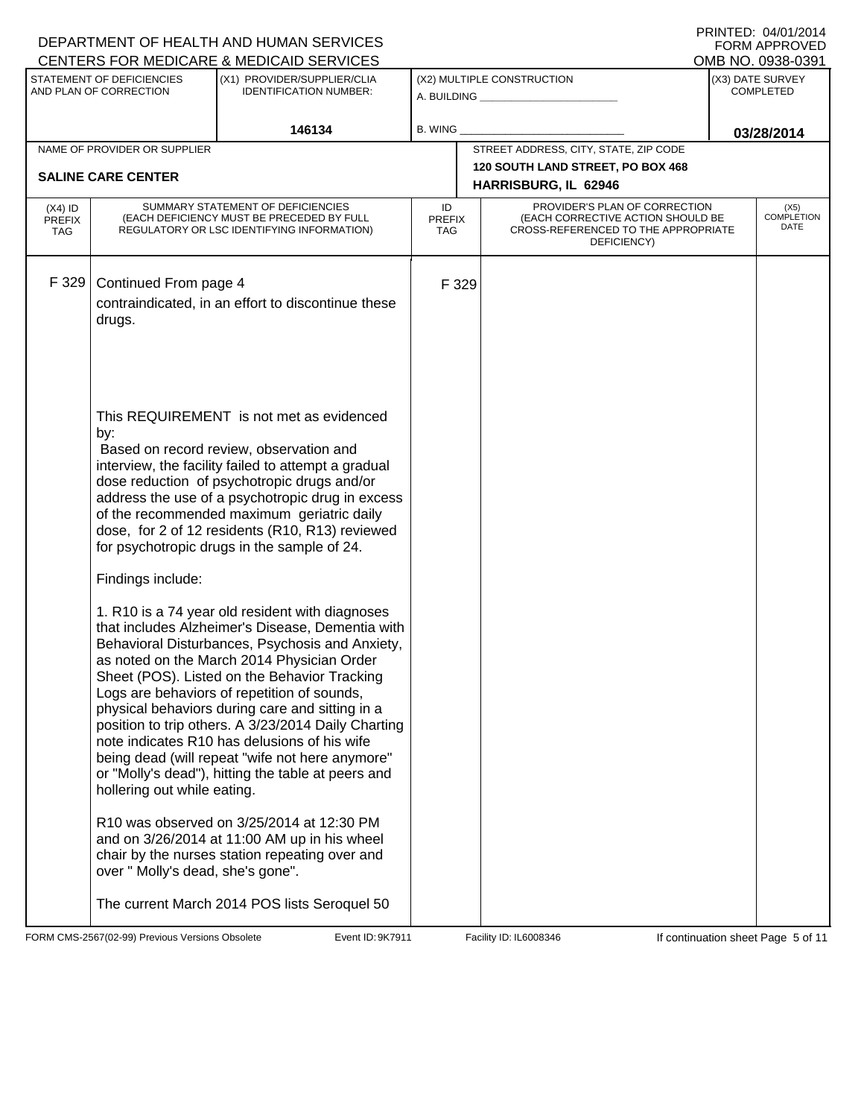|                                                     |                                                                                            | DEPARTMENT OF HEALTH AND HUMAN SERVICES<br>CENTERS FOR MEDICARE & MEDICAID SERVICES                                                                                                                                                                                                                                                                                                                                                                                                                                                                                                                                                                                                                                                                                                                                                                                                                                                                                                                                                                                                                                                                                          |                            |                                                              |                                                                                                                          |                   | FNINIED. 04/01/2014<br><b>FORM APPROVED</b> |
|-----------------------------------------------------|--------------------------------------------------------------------------------------------|------------------------------------------------------------------------------------------------------------------------------------------------------------------------------------------------------------------------------------------------------------------------------------------------------------------------------------------------------------------------------------------------------------------------------------------------------------------------------------------------------------------------------------------------------------------------------------------------------------------------------------------------------------------------------------------------------------------------------------------------------------------------------------------------------------------------------------------------------------------------------------------------------------------------------------------------------------------------------------------------------------------------------------------------------------------------------------------------------------------------------------------------------------------------------|----------------------------|--------------------------------------------------------------|--------------------------------------------------------------------------------------------------------------------------|-------------------|---------------------------------------------|
| STATEMENT OF DEFICIENCIES<br>AND PLAN OF CORRECTION |                                                                                            | (X1) PROVIDER/SUPPLIER/CLIA<br><b>IDENTIFICATION NUMBER:</b>                                                                                                                                                                                                                                                                                                                                                                                                                                                                                                                                                                                                                                                                                                                                                                                                                                                                                                                                                                                                                                                                                                                 |                            | (X2) MULTIPLE CONSTRUCTION<br>A. BUILDING <b>A.</b> BUILDING |                                                                                                                          |                   | (X3) DATE SURVEY<br><b>COMPLETED</b>        |
|                                                     |                                                                                            | 146134                                                                                                                                                                                                                                                                                                                                                                                                                                                                                                                                                                                                                                                                                                                                                                                                                                                                                                                                                                                                                                                                                                                                                                       | <b>B. WING</b>             |                                                              |                                                                                                                          | OMB NO. 0938-0391 | 03/28/2014                                  |
|                                                     | NAME OF PROVIDER OR SUPPLIER                                                               |                                                                                                                                                                                                                                                                                                                                                                                                                                                                                                                                                                                                                                                                                                                                                                                                                                                                                                                                                                                                                                                                                                                                                                              |                            |                                                              | STREET ADDRESS, CITY, STATE, ZIP CODE                                                                                    |                   |                                             |
|                                                     | <b>SALINE CARE CENTER</b>                                                                  |                                                                                                                                                                                                                                                                                                                                                                                                                                                                                                                                                                                                                                                                                                                                                                                                                                                                                                                                                                                                                                                                                                                                                                              |                            |                                                              | 120 SOUTH LAND STREET, PO BOX 468<br>HARRISBURG, IL 62946                                                                |                   |                                             |
| $(X4)$ ID<br><b>PREFIX</b><br><b>TAG</b>            |                                                                                            | SUMMARY STATEMENT OF DEFICIENCIES<br>(EACH DEFICIENCY MUST BE PRECEDED BY FULL<br>REGULATORY OR LSC IDENTIFYING INFORMATION)                                                                                                                                                                                                                                                                                                                                                                                                                                                                                                                                                                                                                                                                                                                                                                                                                                                                                                                                                                                                                                                 | ID<br><b>PREFIX</b><br>TAG |                                                              | PROVIDER'S PLAN OF CORRECTION<br>(EACH CORRECTIVE ACTION SHOULD BE<br>CROSS-REFERENCED TO THE APPROPRIATE<br>DEFICIENCY) |                   | (X5)<br><b>COMPLETION</b><br>DATE           |
| F 329                                               | Continued From page 4<br>drugs.<br>by:<br>Findings include:<br>hollering out while eating. | contraindicated, in an effort to discontinue these<br>This REQUIREMENT is not met as evidenced<br>Based on record review, observation and<br>interview, the facility failed to attempt a gradual<br>dose reduction of psychotropic drugs and/or<br>address the use of a psychotropic drug in excess<br>of the recommended maximum geriatric daily<br>dose, for 2 of 12 residents (R10, R13) reviewed<br>for psychotropic drugs in the sample of 24.<br>1. R10 is a 74 year old resident with diagnoses<br>that includes Alzheimer's Disease, Dementia with<br>Behavioral Disturbances, Psychosis and Anxiety,<br>as noted on the March 2014 Physician Order<br>Sheet (POS). Listed on the Behavior Tracking<br>Logs are behaviors of repetition of sounds,<br>physical behaviors during care and sitting in a<br>position to trip others. A 3/23/2014 Daily Charting<br>note indicates R10 has delusions of his wife<br>being dead (will repeat "wife not here anymore"<br>or "Molly's dead"), hitting the table at peers and<br>R10 was observed on 3/25/2014 at 12:30 PM<br>and on 3/26/2014 at 11:00 AM up in his wheel<br>chair by the nurses station repeating over and |                            | F 329                                                        |                                                                                                                          |                   |                                             |
|                                                     | over " Molly's dead, she's gone".                                                          | The current March 2014 POS lists Seroquel 50                                                                                                                                                                                                                                                                                                                                                                                                                                                                                                                                                                                                                                                                                                                                                                                                                                                                                                                                                                                                                                                                                                                                 |                            |                                                              |                                                                                                                          |                   |                                             |

FORM CMS-2567(02-99) Previous Versions Obsolete **10:9K7911** Event ID: 9K7911 Facility ID: IL6008346 If continuation sheet Page 5 of 11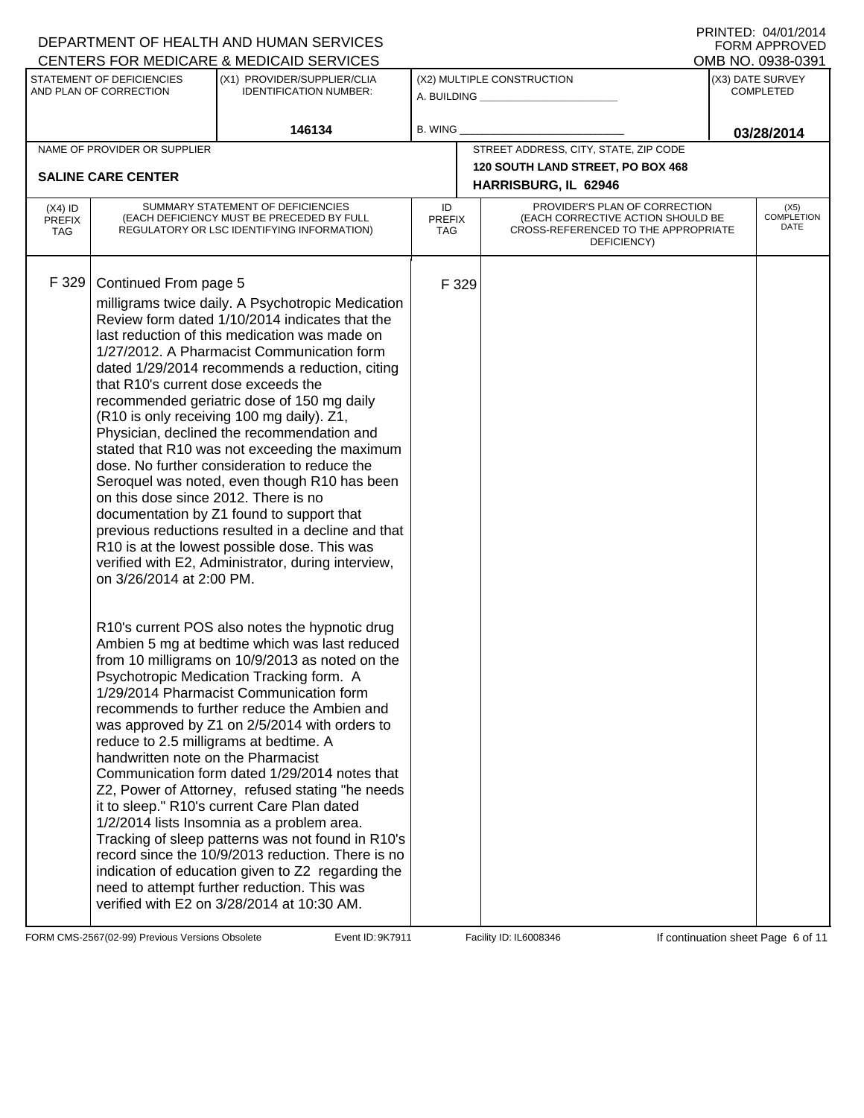#### A. BUILDING **\_\_\_\_\_\_\_\_\_\_\_\_\_\_\_\_\_\_\_\_\_\_** (X1) PROVIDER/SUPPLIER/CLIA IDENTIFICATION NUMBER: STATEMENT OF DEFICIENCIES AND PLAN OF CORRECTION (X3) DATE SURVEY COMPLETED FORM APPROVED<br>OMB NO. 0938-0391 (X2) MULTIPLE CONSTRUCTION B. WING CENTERS FOR MEDICARE & MEDICAID SERVICES **146134 03/28/2014** NAME OF PROVIDER OR SUPPLIER STREET ADDRESS, CITY, STATE, ZIP CODE **120 SOUTH LAND STREET, PO BOX 468 SALINE CARE CENTER HARRISBURG, IL 62946** PROVIDER'S PLAN OF CORRECTION (EACH CORRECTIVE ACTION SHOULD BE CROSS-REFERENCED TO THE APPROPRIATE DEFICIENCY) (X5) COMPLETION DATE ID PREFIX TAG (X4) ID PREFIX TAG SUMMARY STATEMENT OF DEFICIENCIES (EACH DEFICIENCY MUST BE PRECEDED BY FULL REGULATORY OR LSC IDENTIFYING INFORMATION) F 329 Continued From page 5 F 329 milligrams twice daily. A Psychotropic Medication Review form dated 1/10/2014 indicates that the last reduction of this medication was made on 1/27/2012. A Pharmacist Communication form dated 1/29/2014 recommends a reduction, citing that R10's current dose exceeds the recommended geriatric dose of 150 mg daily (R10 is only receiving 100 mg daily). Z1, Physician, declined the recommendation and stated that R10 was not exceeding the maximum dose. No further consideration to reduce the Seroquel was noted, even though R10 has been on this dose since 2012. There is no documentation by Z1 found to support that previous reductions resulted in a decline and that R10 is at the lowest possible dose. This was verified with E2, Administrator, during interview, on 3/26/2014 at 2:00 PM. R10's current POS also notes the hypnotic drug Ambien 5 mg at bedtime which was last reduced from 10 milligrams on 10/9/2013 as noted on the Psychotropic Medication Tracking form. A 1/29/2014 Pharmacist Communication form recommends to further reduce the Ambien and was approved by Z1 on 2/5/2014 with orders to reduce to 2.5 milligrams at bedtime. A handwritten note on the Pharmacist Communication form dated 1/29/2014 notes that Z2, Power of Attorney, refused stating "he needs it to sleep." R10's current Care Plan dated 1/2/2014 lists Insomnia as a problem area. Tracking of sleep patterns was not found in R10's record since the 10/9/2013 reduction. There is no indication of education given to Z2 regarding the need to attempt further reduction. This was verified with E2 on 3/28/2014 at 10:30 AM.

FORM CMS-2567(02-99) Previous Versions Obsolete **9the Hart Event ID: 9K7911** Facility ID: IL6008346 If continuation sheet Page 6 of 11

DEPARTMENT OF HEALTH AND HUMAN SERVICES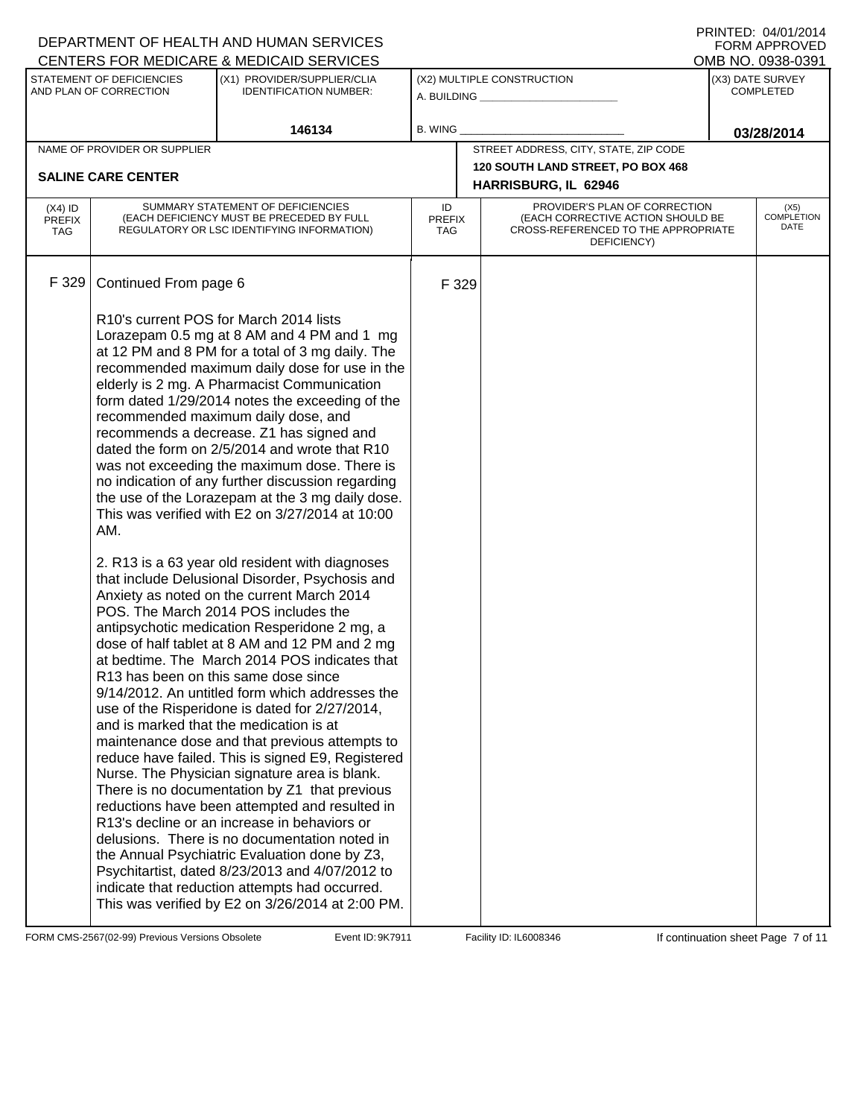|                                                     |                              | DEPARTMENT OF HEALTH AND HUMAN SERVICES<br>CENTERS FOR MEDICARE & MEDICAID SERVICES                                                                                                                                                                                                                                                                                                                                                                                                                                                                                                                                                                                                                                                                                                                                                                                                                                                                                                                                                                                                                                                                                                                                                                                                                                                                                                                                                                                                                                                                                                                                                                                                                                                                      |                            |                                                              |                                                                                                                          |  | FNINIED. 04/01/2014<br><b>FORM APPROVED</b><br>OMB NO. 0938-0391 |
|-----------------------------------------------------|------------------------------|----------------------------------------------------------------------------------------------------------------------------------------------------------------------------------------------------------------------------------------------------------------------------------------------------------------------------------------------------------------------------------------------------------------------------------------------------------------------------------------------------------------------------------------------------------------------------------------------------------------------------------------------------------------------------------------------------------------------------------------------------------------------------------------------------------------------------------------------------------------------------------------------------------------------------------------------------------------------------------------------------------------------------------------------------------------------------------------------------------------------------------------------------------------------------------------------------------------------------------------------------------------------------------------------------------------------------------------------------------------------------------------------------------------------------------------------------------------------------------------------------------------------------------------------------------------------------------------------------------------------------------------------------------------------------------------------------------------------------------------------------------|----------------------------|--------------------------------------------------------------|--------------------------------------------------------------------------------------------------------------------------|--|------------------------------------------------------------------|
| STATEMENT OF DEFICIENCIES<br>AND PLAN OF CORRECTION |                              | (X1) PROVIDER/SUPPLIER/CLIA<br><b>IDENTIFICATION NUMBER:</b>                                                                                                                                                                                                                                                                                                                                                                                                                                                                                                                                                                                                                                                                                                                                                                                                                                                                                                                                                                                                                                                                                                                                                                                                                                                                                                                                                                                                                                                                                                                                                                                                                                                                                             |                            | (X2) MULTIPLE CONSTRUCTION<br>A. BUILDING <b>A.</b> BUILDING |                                                                                                                          |  | (X3) DATE SURVEY<br><b>COMPLETED</b>                             |
|                                                     |                              | 146134                                                                                                                                                                                                                                                                                                                                                                                                                                                                                                                                                                                                                                                                                                                                                                                                                                                                                                                                                                                                                                                                                                                                                                                                                                                                                                                                                                                                                                                                                                                                                                                                                                                                                                                                                   | <b>B. WING</b>             |                                                              |                                                                                                                          |  | 03/28/2014                                                       |
|                                                     | NAME OF PROVIDER OR SUPPLIER |                                                                                                                                                                                                                                                                                                                                                                                                                                                                                                                                                                                                                                                                                                                                                                                                                                                                                                                                                                                                                                                                                                                                                                                                                                                                                                                                                                                                                                                                                                                                                                                                                                                                                                                                                          |                            |                                                              | STREET ADDRESS, CITY, STATE, ZIP CODE                                                                                    |  |                                                                  |
|                                                     |                              |                                                                                                                                                                                                                                                                                                                                                                                                                                                                                                                                                                                                                                                                                                                                                                                                                                                                                                                                                                                                                                                                                                                                                                                                                                                                                                                                                                                                                                                                                                                                                                                                                                                                                                                                                          |                            |                                                              | 120 SOUTH LAND STREET, PO BOX 468                                                                                        |  |                                                                  |
|                                                     | <b>SALINE CARE CENTER</b>    |                                                                                                                                                                                                                                                                                                                                                                                                                                                                                                                                                                                                                                                                                                                                                                                                                                                                                                                                                                                                                                                                                                                                                                                                                                                                                                                                                                                                                                                                                                                                                                                                                                                                                                                                                          |                            |                                                              | HARRISBURG, IL 62946                                                                                                     |  |                                                                  |
| $(X4)$ ID<br><b>PREFIX</b><br><b>TAG</b>            |                              | SUMMARY STATEMENT OF DEFICIENCIES<br>(EACH DEFICIENCY MUST BE PRECEDED BY FULL<br>REGULATORY OR LSC IDENTIFYING INFORMATION)                                                                                                                                                                                                                                                                                                                                                                                                                                                                                                                                                                                                                                                                                                                                                                                                                                                                                                                                                                                                                                                                                                                                                                                                                                                                                                                                                                                                                                                                                                                                                                                                                             | ID<br><b>PREFIX</b><br>TAG |                                                              | PROVIDER'S PLAN OF CORRECTION<br>(EACH CORRECTIVE ACTION SHOULD BE<br>CROSS-REFERENCED TO THE APPROPRIATE<br>DEFICIENCY) |  | (X5)<br><b>COMPLETION</b><br>DATE                                |
| F 329                                               | Continued From page 6        |                                                                                                                                                                                                                                                                                                                                                                                                                                                                                                                                                                                                                                                                                                                                                                                                                                                                                                                                                                                                                                                                                                                                                                                                                                                                                                                                                                                                                                                                                                                                                                                                                                                                                                                                                          | F 329                      |                                                              |                                                                                                                          |  |                                                                  |
|                                                     | AM.                          | R10's current POS for March 2014 lists<br>Lorazepam 0.5 mg at 8 AM and 4 PM and 1 mg<br>at 12 PM and 8 PM for a total of 3 mg daily. The<br>recommended maximum daily dose for use in the<br>elderly is 2 mg. A Pharmacist Communication<br>form dated 1/29/2014 notes the exceeding of the<br>recommended maximum daily dose, and<br>recommends a decrease. Z1 has signed and<br>dated the form on 2/5/2014 and wrote that R10<br>was not exceeding the maximum dose. There is<br>no indication of any further discussion regarding<br>the use of the Lorazepam at the 3 mg daily dose.<br>This was verified with E2 on 3/27/2014 at 10:00<br>2. R13 is a 63 year old resident with diagnoses<br>that include Delusional Disorder, Psychosis and<br>Anxiety as noted on the current March 2014<br>POS. The March 2014 POS includes the<br>antipsychotic medication Resperidone 2 mg, a<br>dose of half tablet at 8 AM and 12 PM and 2 mg<br>at bedtime. The March 2014 POS indicates that<br>R13 has been on this same dose since<br>9/14/2012. An untitled form which addresses the<br>use of the Risperidone is dated for 2/27/2014,<br>and is marked that the medication is at<br>maintenance dose and that previous attempts to<br>reduce have failed. This is signed E9, Registered<br>Nurse. The Physician signature area is blank.<br>There is no documentation by Z1 that previous<br>reductions have been attempted and resulted in<br>R13's decline or an increase in behaviors or<br>delusions. There is no documentation noted in<br>the Annual Psychiatric Evaluation done by Z3,<br>Psychitartist, dated 8/23/2013 and 4/07/2012 to<br>indicate that reduction attempts had occurred.<br>This was verified by E2 on 3/26/2014 at 2:00 PM. |                            |                                                              |                                                                                                                          |  |                                                                  |

FORM CMS-2567(02-99) Previous Versions Obsolete **10:9K7911** Event ID: 9K7911 Facility ID: IL6008346 If continuation sheet Page 7 of 11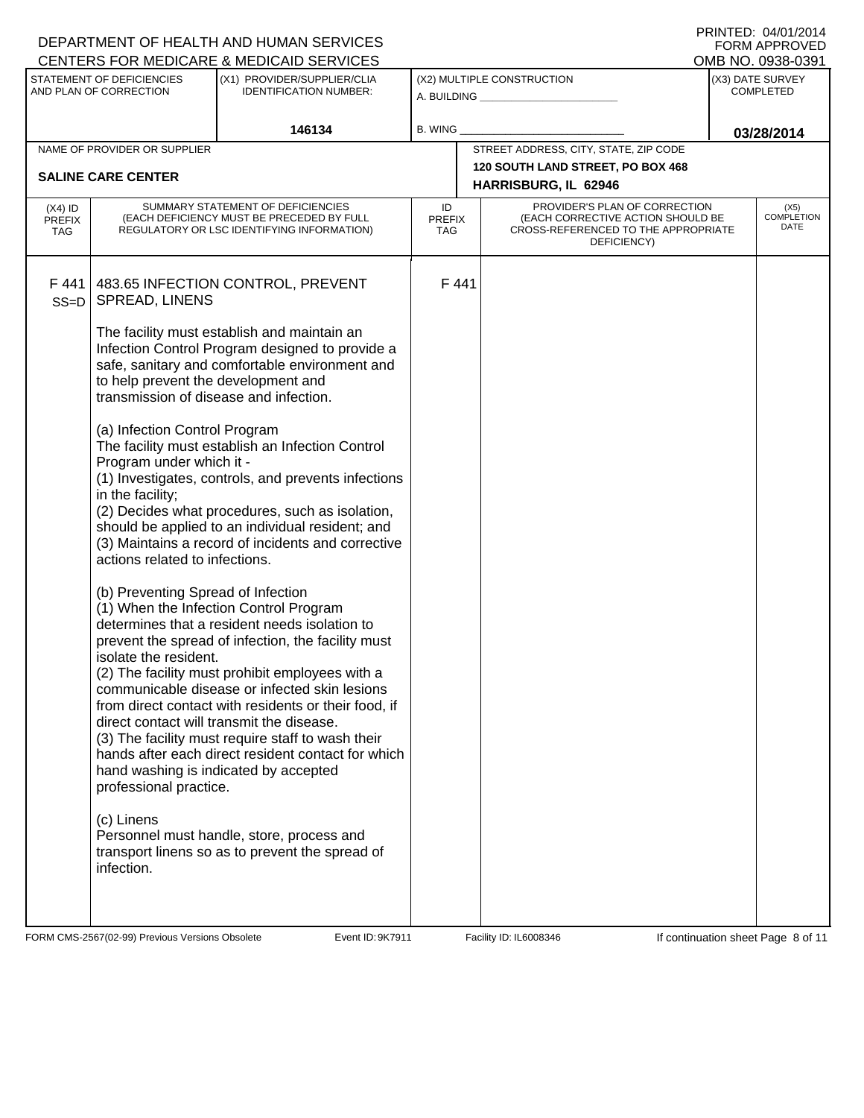### A. BUILDING **\_\_\_\_\_\_\_\_\_\_\_\_\_\_\_\_\_\_\_\_\_\_** (X1) PROVIDER/SUPPLIER/CLIA IDENTIFICATION NUMBER: STATEMENT OF DEFICIENCIES AND PLAN OF CORRECTION (X3) DATE SURVEY COMPLETED FORM APPROVED<br>OMB NO. 0938-0391 (X2) MULTIPLE CONSTRUCTION B. WING CENTERS FOR MEDICARE & MEDICAID SERVICES **146134 03/28/2014** NAME OF PROVIDER OR SUPPLIER STREET ADDRESS, CITY, STATE, ZIP CODE **120 SOUTH LAND STREET, PO BOX 468 SALINE CARE CENTER HARRISBURG, IL 62946** PROVIDER'S PLAN OF CORRECTION (EACH CORRECTIVE ACTION SHOULD BE CROSS-REFERENCED TO THE APPROPRIATE DEFICIENCY) (X5) COMPLETION DATE ID PREFIX TAG (X4) ID PREFIX TAG SUMMARY STATEMENT OF DEFICIENCIES (EACH DEFICIENCY MUST BE PRECEDED BY FULL REGULATORY OR LSC IDENTIFYING INFORMATION) F 441 SS=D 483.65 INFECTION CONTROL, PREVENT SPREAD, LINENS The facility must establish and maintain an Infection Control Program designed to provide a safe, sanitary and comfortable environment and to help prevent the development and transmission of disease and infection. (a) Infection Control Program The facility must establish an Infection Control Program under which it - (1) Investigates, controls, and prevents infections in the facility; (2) Decides what procedures, such as isolation, should be applied to an individual resident; and (3) Maintains a record of incidents and corrective actions related to infections. (b) Preventing Spread of Infection (1) When the Infection Control Program determines that a resident needs isolation to prevent the spread of infection, the facility must isolate the resident. (2) The facility must prohibit employees with a communicable disease or infected skin lesions from direct contact with residents or their food, if direct contact will transmit the disease. (3) The facility must require staff to wash their hands after each direct resident contact for which hand washing is indicated by accepted professional practice. (c) Linens Personnel must handle, store, process and transport linens so as to prevent the spread of infection. F 441

FORM CMS-2567(02-99) Previous Versions Obsolete **9the Hart Event ID: 9K7911** Facility ID: IL6008346 If continuation sheet Page 8 of 11

DEPARTMENT OF HEALTH AND HUMAN SERVICES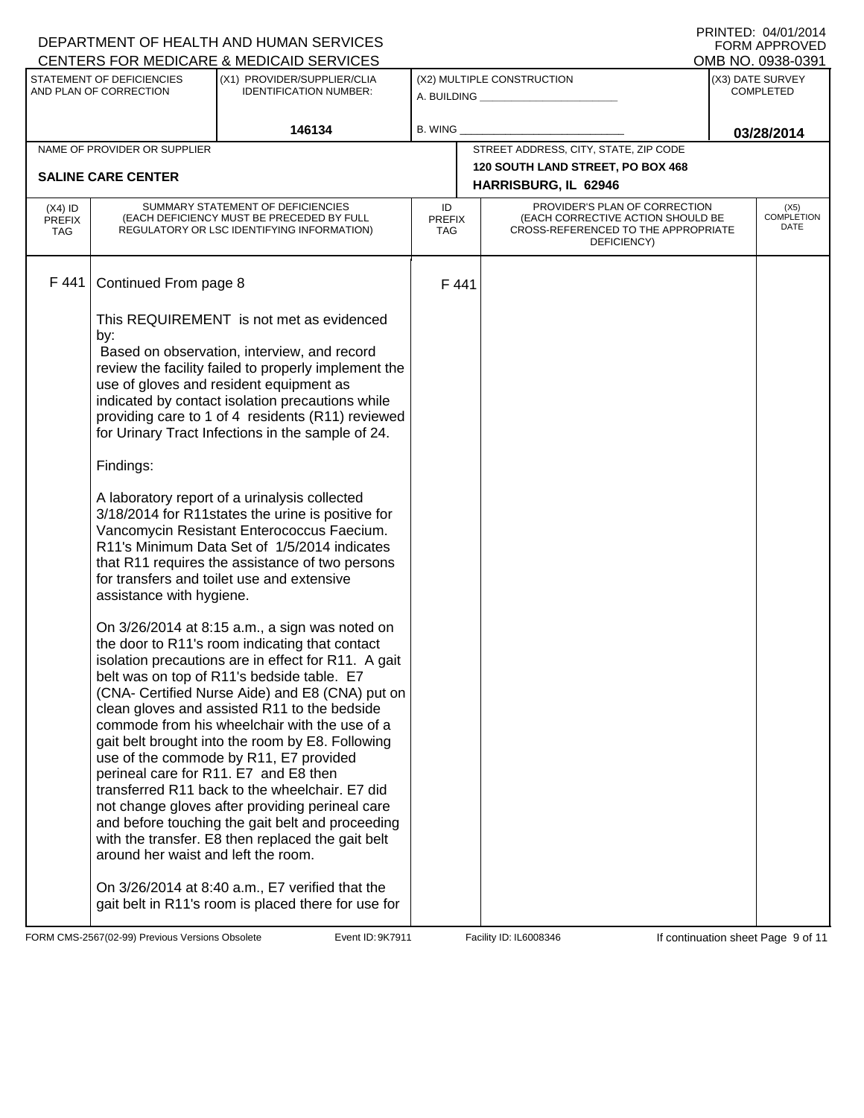|                                                     |                                                                                                                                                                                                                                                                                        | DEPARTMENT OF HEALTH AND HUMAN SERVICES<br>CENTERS FOR MEDICARE & MEDICAID SERVICES                                                                                                                                                                                                                                                                                                                                                                                                                                                                                                                                                                                                                                                                                                                                                                                                                                                                                                                                                                                                                                                                                                                                                                                                                                                                                                                                                |                                                              |  |                                       |                                      | FNINIED. 04/01/2014<br><b>FORM APPROVED</b><br>OMB NO. 0938-0391 |
|-----------------------------------------------------|----------------------------------------------------------------------------------------------------------------------------------------------------------------------------------------------------------------------------------------------------------------------------------------|------------------------------------------------------------------------------------------------------------------------------------------------------------------------------------------------------------------------------------------------------------------------------------------------------------------------------------------------------------------------------------------------------------------------------------------------------------------------------------------------------------------------------------------------------------------------------------------------------------------------------------------------------------------------------------------------------------------------------------------------------------------------------------------------------------------------------------------------------------------------------------------------------------------------------------------------------------------------------------------------------------------------------------------------------------------------------------------------------------------------------------------------------------------------------------------------------------------------------------------------------------------------------------------------------------------------------------------------------------------------------------------------------------------------------------|--------------------------------------------------------------|--|---------------------------------------|--------------------------------------|------------------------------------------------------------------|
| STATEMENT OF DEFICIENCIES<br>AND PLAN OF CORRECTION |                                                                                                                                                                                                                                                                                        | (X1) PROVIDER/SUPPLIER/CLIA<br><b>IDENTIFICATION NUMBER:</b>                                                                                                                                                                                                                                                                                                                                                                                                                                                                                                                                                                                                                                                                                                                                                                                                                                                                                                                                                                                                                                                                                                                                                                                                                                                                                                                                                                       | (X2) MULTIPLE CONSTRUCTION<br>A. BUILDING <b>A.</b> BUILDING |  |                                       | (X3) DATE SURVEY<br><b>COMPLETED</b> |                                                                  |
|                                                     |                                                                                                                                                                                                                                                                                        | 146134                                                                                                                                                                                                                                                                                                                                                                                                                                                                                                                                                                                                                                                                                                                                                                                                                                                                                                                                                                                                                                                                                                                                                                                                                                                                                                                                                                                                                             | <b>B. WING</b>                                               |  |                                       |                                      | 03/28/2014                                                       |
|                                                     | NAME OF PROVIDER OR SUPPLIER                                                                                                                                                                                                                                                           |                                                                                                                                                                                                                                                                                                                                                                                                                                                                                                                                                                                                                                                                                                                                                                                                                                                                                                                                                                                                                                                                                                                                                                                                                                                                                                                                                                                                                                    |                                                              |  | STREET ADDRESS, CITY, STATE, ZIP CODE |                                      |                                                                  |
|                                                     |                                                                                                                                                                                                                                                                                        |                                                                                                                                                                                                                                                                                                                                                                                                                                                                                                                                                                                                                                                                                                                                                                                                                                                                                                                                                                                                                                                                                                                                                                                                                                                                                                                                                                                                                                    |                                                              |  | 120 SOUTH LAND STREET, PO BOX 468     |                                      |                                                                  |
|                                                     | <b>SALINE CARE CENTER</b>                                                                                                                                                                                                                                                              |                                                                                                                                                                                                                                                                                                                                                                                                                                                                                                                                                                                                                                                                                                                                                                                                                                                                                                                                                                                                                                                                                                                                                                                                                                                                                                                                                                                                                                    |                                                              |  | HARRISBURG, IL 62946                  |                                      |                                                                  |
| $(X4)$ ID<br><b>PREFIX</b><br><b>TAG</b>            | PROVIDER'S PLAN OF CORRECTION<br>SUMMARY STATEMENT OF DEFICIENCIES<br>ID<br>(EACH CORRECTIVE ACTION SHOULD BE<br>(EACH DEFICIENCY MUST BE PRECEDED BY FULL<br><b>PREFIX</b><br>CROSS-REFERENCED TO THE APPROPRIATE<br>REGULATORY OR LSC IDENTIFYING INFORMATION)<br>TAG<br>DEFICIENCY) |                                                                                                                                                                                                                                                                                                                                                                                                                                                                                                                                                                                                                                                                                                                                                                                                                                                                                                                                                                                                                                                                                                                                                                                                                                                                                                                                                                                                                                    |                                                              |  |                                       | (X5)<br><b>COMPLETION</b><br>DATE    |                                                                  |
| F 441                                               | Continued From page 8                                                                                                                                                                                                                                                                  |                                                                                                                                                                                                                                                                                                                                                                                                                                                                                                                                                                                                                                                                                                                                                                                                                                                                                                                                                                                                                                                                                                                                                                                                                                                                                                                                                                                                                                    | F 441                                                        |  |                                       |                                      |                                                                  |
|                                                     | by:<br>Findings:<br>assistance with hygiene.<br>around her waist and left the room.                                                                                                                                                                                                    | This REQUIREMENT is not met as evidenced<br>Based on observation, interview, and record<br>review the facility failed to properly implement the<br>use of gloves and resident equipment as<br>indicated by contact isolation precautions while<br>providing care to 1 of 4 residents (R11) reviewed<br>for Urinary Tract Infections in the sample of 24.<br>A laboratory report of a urinalysis collected<br>3/18/2014 for R11states the urine is positive for<br>Vancomycin Resistant Enterococcus Faecium.<br>R11's Minimum Data Set of 1/5/2014 indicates<br>that R11 requires the assistance of two persons<br>for transfers and toilet use and extensive<br>On 3/26/2014 at 8:15 a.m., a sign was noted on<br>the door to R11's room indicating that contact<br>isolation precautions are in effect for R11. A gait<br>belt was on top of R11's bedside table. E7<br>(CNA- Certified Nurse Aide) and E8 (CNA) put on<br>clean gloves and assisted R11 to the bedside<br>commode from his wheelchair with the use of a<br>gait belt brought into the room by E8. Following<br>use of the commode by R11, E7 provided<br>perineal care for R11. E7 and E8 then<br>transferred R11 back to the wheelchair. E7 did<br>not change gloves after providing perineal care<br>and before touching the gait belt and proceeding<br>with the transfer. E8 then replaced the gait belt<br>On 3/26/2014 at 8:40 a.m., E7 verified that the |                                                              |  |                                       |                                      |                                                                  |
|                                                     |                                                                                                                                                                                                                                                                                        | gait belt in R11's room is placed there for use for                                                                                                                                                                                                                                                                                                                                                                                                                                                                                                                                                                                                                                                                                                                                                                                                                                                                                                                                                                                                                                                                                                                                                                                                                                                                                                                                                                                |                                                              |  |                                       |                                      |                                                                  |

FORM CMS-2567(02-99) Previous Versions Obsolete **10:9K7911** Event ID: 9K7911 Facility ID: IL6008346 If continuation sheet Page 9 of 11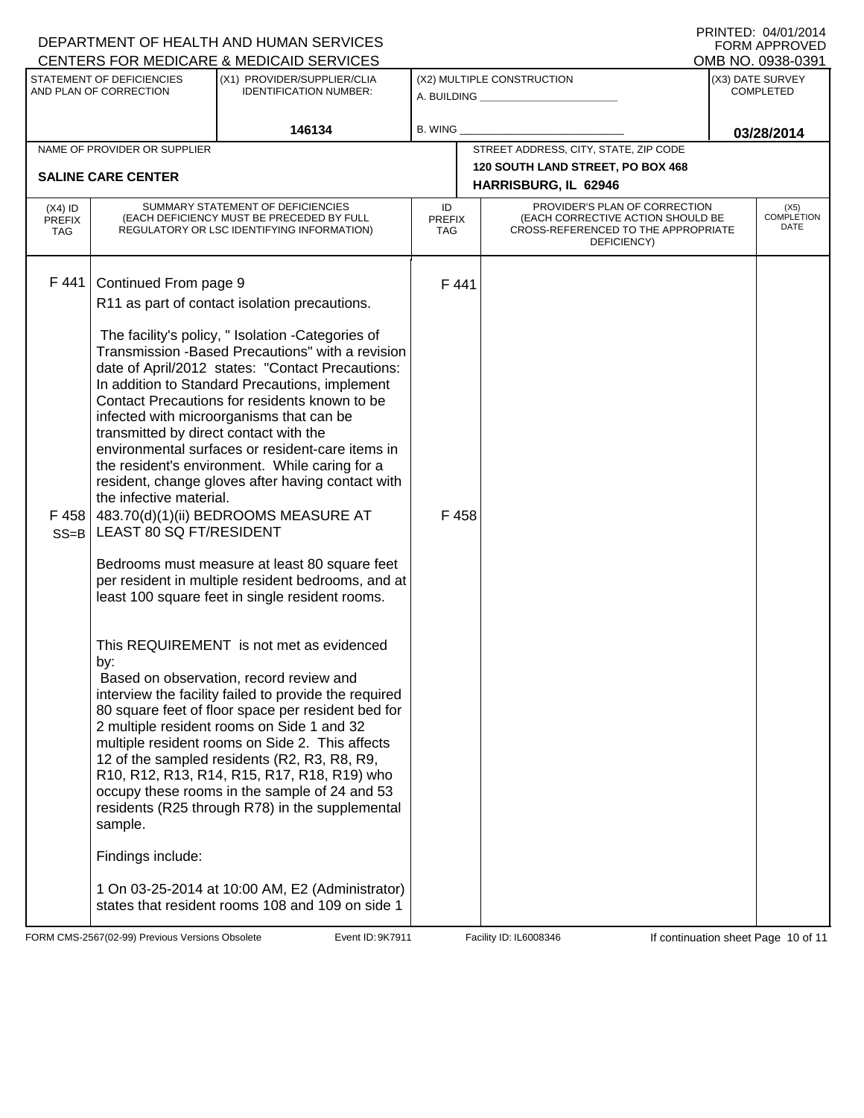|                                          |                                                                                                                                                              | DEPARTMENT OF HEALTH AND HUMAN SERVICES<br>CENTERS FOR MEDICARE & MEDICAID SERVICES                                                                                                                                                                                                                                                                                                                                                                                                                                                                                                                                                                                                                                                                                                                                                                                                                                                                                                                                                                                                                                                                                                                                               |                                   |                                                                                                                          | <b>FORM APPROVED</b><br>OMB NO. 0938-0391 |
|------------------------------------------|--------------------------------------------------------------------------------------------------------------------------------------------------------------|-----------------------------------------------------------------------------------------------------------------------------------------------------------------------------------------------------------------------------------------------------------------------------------------------------------------------------------------------------------------------------------------------------------------------------------------------------------------------------------------------------------------------------------------------------------------------------------------------------------------------------------------------------------------------------------------------------------------------------------------------------------------------------------------------------------------------------------------------------------------------------------------------------------------------------------------------------------------------------------------------------------------------------------------------------------------------------------------------------------------------------------------------------------------------------------------------------------------------------------|-----------------------------------|--------------------------------------------------------------------------------------------------------------------------|-------------------------------------------|
|                                          | STATEMENT OF DEFICIENCIES<br>AND PLAN OF CORRECTION                                                                                                          | (X1) PROVIDER/SUPPLIER/CLIA<br><b>IDENTIFICATION NUMBER:</b>                                                                                                                                                                                                                                                                                                                                                                                                                                                                                                                                                                                                                                                                                                                                                                                                                                                                                                                                                                                                                                                                                                                                                                      |                                   | (X2) MULTIPLE CONSTRUCTION<br>A. BUILDING <u>____________________</u>                                                    | (X3) DATE SURVEY<br><b>COMPLETED</b>      |
|                                          |                                                                                                                                                              | 146134                                                                                                                                                                                                                                                                                                                                                                                                                                                                                                                                                                                                                                                                                                                                                                                                                                                                                                                                                                                                                                                                                                                                                                                                                            | B. WING                           |                                                                                                                          | 03/28/2014                                |
|                                          | NAME OF PROVIDER OR SUPPLIER                                                                                                                                 |                                                                                                                                                                                                                                                                                                                                                                                                                                                                                                                                                                                                                                                                                                                                                                                                                                                                                                                                                                                                                                                                                                                                                                                                                                   |                                   | STREET ADDRESS, CITY, STATE, ZIP CODE                                                                                    |                                           |
|                                          | <b>SALINE CARE CENTER</b>                                                                                                                                    |                                                                                                                                                                                                                                                                                                                                                                                                                                                                                                                                                                                                                                                                                                                                                                                                                                                                                                                                                                                                                                                                                                                                                                                                                                   |                                   | 120 SOUTH LAND STREET, PO BOX 468<br>HARRISBURG, IL 62946                                                                |                                           |
| $(X4)$ ID<br><b>PREFIX</b><br><b>TAG</b> |                                                                                                                                                              | SUMMARY STATEMENT OF DEFICIENCIES<br>(EACH DEFICIENCY MUST BE PRECEDED BY FULL<br>REGULATORY OR LSC IDENTIFYING INFORMATION)                                                                                                                                                                                                                                                                                                                                                                                                                                                                                                                                                                                                                                                                                                                                                                                                                                                                                                                                                                                                                                                                                                      | ID<br><b>PREFIX</b><br><b>TAG</b> | PROVIDER'S PLAN OF CORRECTION<br>(EACH CORRECTIVE ACTION SHOULD BE<br>CROSS-REFERENCED TO THE APPROPRIATE<br>DEFICIENCY) | (X5)<br><b>COMPLETION</b><br>DATE         |
| F 441<br>F458<br>$SS = B$                | Continued From page 9<br>transmitted by direct contact with the<br>the infective material.<br>LEAST 80 SQ FT/RESIDENT<br>by:<br>sample.<br>Findings include: | R11 as part of contact isolation precautions.<br>The facility's policy, " Isolation -Categories of<br>Transmission - Based Precautions" with a revision<br>date of April/2012 states: "Contact Precautions:<br>In addition to Standard Precautions, implement<br>Contact Precautions for residents known to be<br>infected with microorganisms that can be<br>environmental surfaces or resident-care items in<br>the resident's environment. While caring for a<br>resident, change gloves after having contact with<br>483.70(d)(1)(ii) BEDROOMS MEASURE AT<br>Bedrooms must measure at least 80 square feet<br>per resident in multiple resident bedrooms, and at<br>least 100 square feet in single resident rooms.<br>This REQUIREMENT is not met as evidenced<br>Based on observation, record review and<br>interview the facility failed to provide the required<br>80 square feet of floor space per resident bed for<br>2 multiple resident rooms on Side 1 and 32<br>multiple resident rooms on Side 2. This affects<br>12 of the sampled residents (R2, R3, R8, R9,<br>R10, R12, R13, R14, R15, R17, R18, R19) who<br>occupy these rooms in the sample of 24 and 53<br>residents (R25 through R78) in the supplemental | F441<br>F458                      |                                                                                                                          |                                           |
|                                          |                                                                                                                                                              | 1 On 03-25-2014 at 10:00 AM, E2 (Administrator)<br>states that resident rooms 108 and 109 on side 1                                                                                                                                                                                                                                                                                                                                                                                                                                                                                                                                                                                                                                                                                                                                                                                                                                                                                                                                                                                                                                                                                                                               |                                   |                                                                                                                          |                                           |

FORM CMS-2567(02-99) Previous Versions Obsolete **10.9K7911** Event ID: 9K7911 Facility ID: IL6008346 If continuation sheet Page 10 of 11

DEPARTMENT OF HEALTH AND HUMAN SERVICES